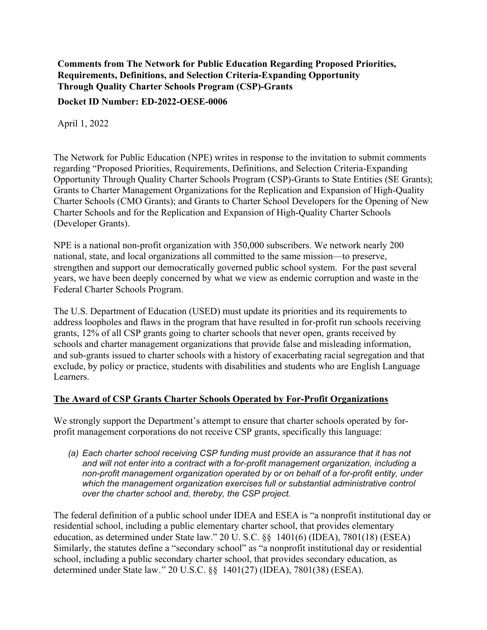# **Comments from The Network for Public Education Regarding Proposed Priorities, Requirements, Definitions, and Selection Criteria-Expanding Opportunity Through Quality Charter Schools Program (CSP)-Grants**

**Docket ID Number: ED-2022-OESE-0006**

April 1, 2022

The Network for Public Education (NPE) writes in response to the invitation to submit comments regarding "Proposed Priorities, Requirements, Definitions, and Selection Criteria-Expanding Opportunity Through Quality Charter Schools Program (CSP)-Grants to State Entities (SE Grants); Grants to Charter Management Organizations for the Replication and Expansion of High-Quality Charter Schools (CMO Grants); and Grants to Charter School Developers for the Opening of New Charter Schools and for the Replication and Expansion of High-Quality Charter Schools (Developer Grants).

NPE is a national non-profit organization with 350,000 subscribers. We network nearly 200 national, state, and local organizations all committed to the same mission—to preserve, strengthen and support our democratically governed public school system. For the past several years, we have been deeply concerned by what we view as endemic corruption and waste in the Federal Charter Schools Program.

The U.S. Department of Education (USED) must update its priorities and its requirements to address loopholes and flaws in the program that have resulted in for-profit run schools receiving grants, 12% of all CSP grants going to charter schools that never open, grants received by schools and charter management organizations that provide false and misleading information, and sub-grants issued to charter schools with a history of exacerbating racial segregation and that exclude, by policy or practice, students with disabilities and students who are English Language Learners.

#### **The Award of CSP Grants Charter Schools Operated by For-Profit Organizations**

We strongly support the Department's attempt to ensure that charter schools operated by forprofit management corporations do not receive CSP grants, specifically this language:

*(a) Each charter school receiving CSP funding must provide an assurance that it has not and will not enter into a contract with a for-profit management organization, including a non-profit management organization operated by or on behalf of a for-profit entity, under which the management organization exercises full or substantial administrative control over the charter school and, thereby, the CSP project.*

The federal definition of a public school under IDEA and ESEA is "a nonprofit institutional day or residential school, including a public elementary charter school, that provides elementary education, as determined under State law." 20 U. S.C. §§ 1401(6) (IDEA), 7801(18) (ESEA) Similarly, the statutes define a "secondary school" as "a nonprofit institutional day or residential school, including a public secondary charter school, that provides secondary education, as determined under State law․" 20 U.S.C. §§ 1401(27) (IDEA), 7801(38) (ESEA).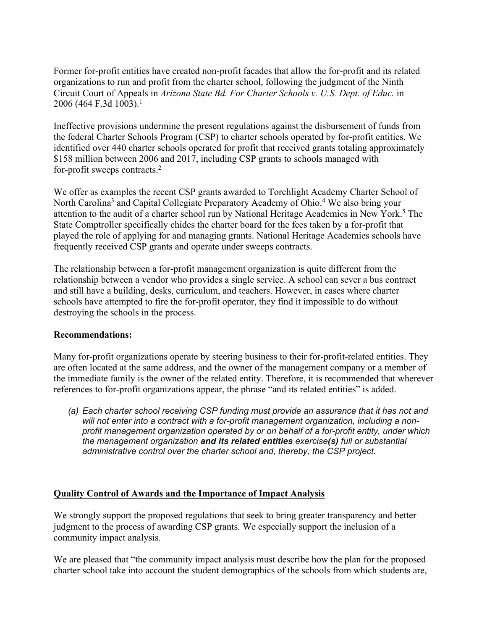Former for-profit entities have created non-profit facades that allow the for-profit and its related organizations to run and profit from the charter school, following the judgment of the Ninth Circuit Court of Appeals in *Arizona State Bd. For Charter Schools v. U.S. Dept. of Educ.* in 2006 (464 F.3d 1003).<sup>1</sup>

Ineffective provisions undermine the present regulations against the disbursement of funds from the federal Charter Schools Program (CSP) to charter schools operated by for-profit entities. We identified over 440 charter schools operated for profit that received grants totaling approximately \$158 million between 2006 and 2017, including CSP grants to schools managed with for-profit sweeps contracts.2

We offer as examples the recent CSP grants awarded to Torchlight Academy Charter School of North Carolina<sup>3</sup> and Capital Collegiate Preparatory Academy of Ohio.<sup>4</sup> We also bring your attention to the audit of a charter school run by National Heritage Academies in New York.<sup>5</sup> The State Comptroller specifically chides the charter board for the fees taken by a for-profit that played the role of applying for and managing grants. National Heritage Academies schools have frequently received CSP grants and operate under sweeps contracts.

The relationship between a for-profit management organization is quite different from the relationship between a vendor who provides a single service. A school can sever a bus contract and still have a building, desks, curriculum, and teachers. However, in cases where charter schools have attempted to fire the for-profit operator, they find it impossible to do without destroying the schools in the process.

# **Recommendations:**

Many for-profit organizations operate by steering business to their for-profit-related entities. They are often located at the same address, and the owner of the management company or a member of the immediate family is the owner of the related entity. Therefore, it is recommended that wherever references to for-profit organizations appear, the phrase "and its related entities" is added.

*(a) Each charter school receiving CSP funding must provide an assurance that it has not and will not enter into a contract with a for-profit management organization, including a nonprofit management organization operated by or on behalf of a for-profit entity, under which the management organization and its related entities exercise(s) full or substantial administrative control over the charter school and, thereby, the CSP project.*

# **Quality Control of Awards and the Importance of Impact Analysis**

We strongly support the proposed regulations that seek to bring greater transparency and better judgment to the process of awarding CSP grants. We especially support the inclusion of a community impact analysis.

We are pleased that "the community impact analysis must describe how the plan for the proposed charter school take into account the student demographics of the schools from which students are,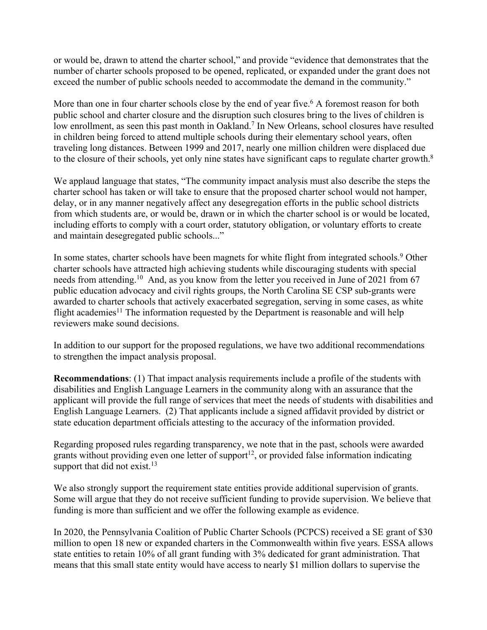or would be, drawn to attend the charter school," and provide "evidence that demonstrates that the number of charter schools proposed to be opened, replicated, or expanded under the grant does not exceed the number of public schools needed to accommodate the demand in the community."

More than one in four charter schools close by the end of year five.<sup>6</sup> A foremost reason for both public school and charter closure and the disruption such closures bring to the lives of children is low enrollment, as seen this past month in Oakland.<sup>7</sup> In New Orleans, school closures have resulted in children being forced to attend multiple schools during their elementary school years, often traveling long distances. Between 1999 and 2017, nearly one million children were displaced due to the closure of their schools, yet only nine states have significant caps to regulate charter growth.<sup>8</sup>

We applaud language that states, "The community impact analysis must also describe the steps the charter school has taken or will take to ensure that the proposed charter school would not hamper, delay, or in any manner negatively affect any desegregation efforts in the public school districts from which students are, or would be, drawn or in which the charter school is or would be located, including efforts to comply with a court order, statutory obligation, or voluntary efforts to create and maintain desegregated public schools..."

In some states, charter schools have been magnets for white flight from integrated schools.<sup>9</sup> Other charter schools have attracted high achieving students while discouraging students with special needs from attending.<sup>10</sup> And, as you know from the letter you received in June of 2021 from 67 public education advocacy and civil rights groups, the North Carolina SE CSP sub-grants were awarded to charter schools that actively exacerbated segregation, serving in some cases, as white flight academies<sup>11</sup> The information requested by the Department is reasonable and will help reviewers make sound decisions.

In addition to our support for the proposed regulations, we have two additional recommendations to strengthen the impact analysis proposal.

**Recommendations**: (1) That impact analysis requirements include a profile of the students with disabilities and English Language Learners in the community along with an assurance that the applicant will provide the full range of services that meet the needs of students with disabilities and English Language Learners. (2) That applicants include a signed affidavit provided by district or state education department officials attesting to the accuracy of the information provided.

Regarding proposed rules regarding transparency, we note that in the past, schools were awarded grants without providing even one letter of support<sup>12</sup>, or provided false information indicating support that did not exist.<sup>13</sup>

We also strongly support the requirement state entities provide additional supervision of grants. Some will argue that they do not receive sufficient funding to provide supervision. We believe that funding is more than sufficient and we offer the following example as evidence.

In 2020, the Pennsylvania Coalition of Public Charter Schools (PCPCS) received a SE grant of \$30 million to open 18 new or expanded charters in the Commonwealth within five years. ESSA allows state entities to retain 10% of all grant funding with 3% dedicated for grant administration. That means that this small state entity would have access to nearly \$1 million dollars to supervise the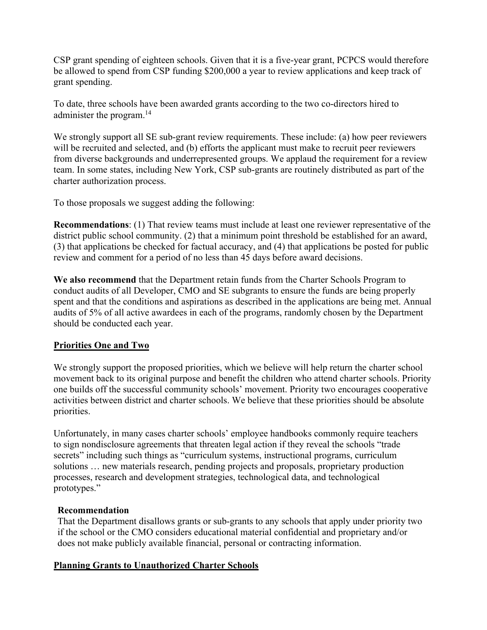CSP grant spending of eighteen schools. Given that it is a five-year grant, PCPCS would therefore be allowed to spend from CSP funding \$200,000 a year to review applications and keep track of grant spending.

To date, three schools have been awarded grants according to the two co-directors hired to administer the program. 14

We strongly support all SE sub-grant review requirements. These include: (a) how peer reviewers will be recruited and selected, and (b) efforts the applicant must make to recruit peer reviewers from diverse backgrounds and underrepresented groups. We applaud the requirement for a review team. In some states, including New York, CSP sub-grants are routinely distributed as part of the charter authorization process.

To those proposals we suggest adding the following:

**Recommendations**: (1) That review teams must include at least one reviewer representative of the district public school community. (2) that a minimum point threshold be established for an award, (3) that applications be checked for factual accuracy, and (4) that applications be posted for public review and comment for a period of no less than 45 days before award decisions.

**We also recommend** that the Department retain funds from the Charter Schools Program to conduct audits of all Developer, CMO and SE subgrants to ensure the funds are being properly spent and that the conditions and aspirations as described in the applications are being met. Annual audits of 5% of all active awardees in each of the programs, randomly chosen by the Department should be conducted each year.

# **Priorities One and Two**

We strongly support the proposed priorities, which we believe will help return the charter school movement back to its original purpose and benefit the children who attend charter schools. Priority one builds off the successful community schools' movement. Priority two encourages cooperative activities between district and charter schools. We believe that these priorities should be absolute priorities.

Unfortunately, in many cases charter schools' employee handbooks commonly require teachers to sign nondisclosure agreements that threaten legal action if they reveal the schools "trade secrets" including such things as "curriculum systems, instructional programs, curriculum solutions … new materials research, pending projects and proposals, proprietary production processes, research and development strategies, technological data, and technological prototypes."

# **Recommendation**

That the Department disallows grants or sub-grants to any schools that apply under priority two if the school or the CMO considers educational material confidential and proprietary and/or does not make publicly available financial, personal or contracting information.

# **Planning Grants to Unauthorized Charter Schools**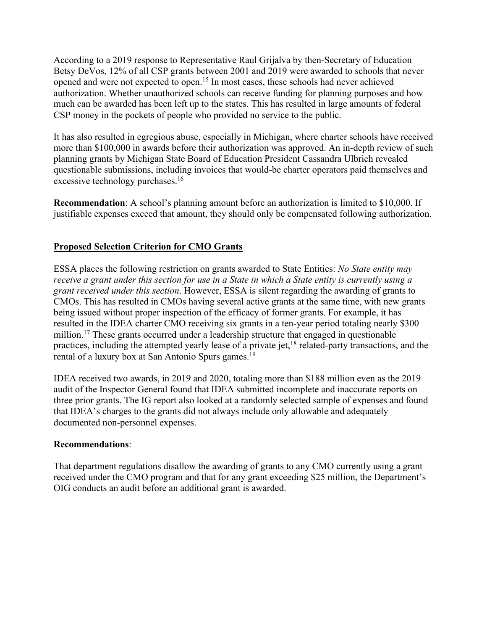According to a 2019 response to Representative Raul Grijalva by then-Secretary of Education Betsy DeVos, 12% of all CSP grants between 2001 and 2019 were awarded to schools that never opened and were not expected to open.<sup>15</sup> In most cases, these schools had never achieved authorization. Whether unauthorized schools can receive funding for planning purposes and how much can be awarded has been left up to the states. This has resulted in large amounts of federal CSP money in the pockets of people who provided no service to the public.

It has also resulted in egregious abuse, especially in Michigan, where charter schools have received more than \$100,000 in awards before their authorization was approved. An in-depth review of such planning grants by Michigan State Board of Education President Cassandra Ulbrich revealed questionable submissions, including invoices that would-be charter operators paid themselves and excessive technology purchases.<sup>16</sup>

**Recommendation**: A school's planning amount before an authorization is limited to \$10,000. If justifiable expenses exceed that amount, they should only be compensated following authorization.

# **Proposed Selection Criterion for CMO Grants**

ESSA places the following restriction on grants awarded to State Entities: *No State entity may receive a grant under this section for use in a State in which a State entity is currently using a grant received under this section*. However, ESSA is silent regarding the awarding of grants to CMOs. This has resulted in CMOs having several active grants at the same time, with new grants being issued without proper inspection of the efficacy of former grants. For example, it has resulted in the IDEA charter CMO receiving six grants in a ten-year period totaling nearly \$300 million.<sup>17</sup> These grants occurred under a leadership structure that engaged in questionable practices, including the attempted yearly lease of a private jet,  $^{18}$  related-party transactions, and the rental of a luxury box at San Antonio Spurs games.<sup>19</sup>

IDEA received two awards, in 2019 and 2020, totaling more than \$188 million even as the 2019 audit of the Inspector General found that IDEA submitted incomplete and inaccurate reports on three prior grants. The IG report also looked at a randomly selected sample of expenses and found that IDEA's charges to the grants did not always include only allowable and adequately documented non-personnel expenses.

# **Recommendations**:

That department regulations disallow the awarding of grants to any CMO currently using a grant received under the CMO program and that for any grant exceeding \$25 million, the Department's OIG conducts an audit before an additional grant is awarded.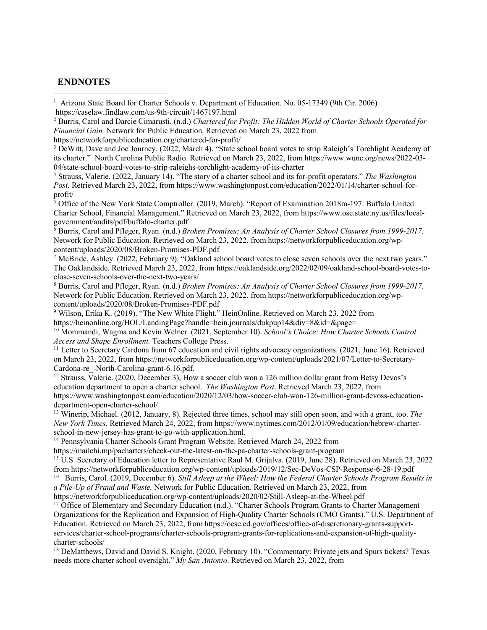#### **ENDNOTES**

<sup>2</sup> Burris, Carol and Darcie Cimarusti. (n.d.) *Chartered for Profit: The Hidden World of Charter Schools Operated for Financial Gain.* Network for Public Education. Retrieved on March 23, 2022 from

https://networkforpubliceducation.org/chartered-for-profit/

<sup>3</sup> DeWitt, Dave and Joe Journey. (2022, March 4). "State school board votes to strip Raleigh's Torchlight Academy of its charter." North Carolina Public Radio. Retrieved on March 23, 2022, from https://www.wunc.org/news/2022-03- 04/state-school-board-votes-to-strip-raleighs-torchlight-academy-of-its-charter

<sup>4</sup> Strauss, Valerie. (2022, January 14). "The story of a charter school and its for-profit operators." *The Washington Post*. Retrieved March 23, 2022, from https://www.washingtonpost.com/education/2022/01/14/charter-school-forprofit/

<sup>5</sup> Office of the New York State Comptroller. (2019, March). "Report of Examination 2018m-197: Buffalo United Charter School, Financial Management." Retrieved on March 23, 2022, from https://www.osc.state.ny.us/files/localgovernment/audits/pdf/buffalo-charter.pdf

<sup>6</sup> Burris, Carol and Pfleger, Ryan. (n.d.) *Broken Promises: An Analysis of Charter School Closures from 1999-2017.* Network for Public Education. Retrieved on March 23, 2022, from https://networkforpubliceducation.org/wpcontent/uploads/2020/08/Broken-Promises-PDF.pdf

 $^7$  McBride, Ashley. (2022, February 9). "Oakland school board votes to close seven schools over the next two years." The Oaklandside. Retrieved March 23, 2022, from https://oaklandside.org/2022/02/09/oakland-school-board-votes-toclose-seven-schools-over-the-next-two-years/

<sup>8</sup> Burris, Carol and Pfleger, Ryan. (n.d.) *Broken Promises: An Analysis of Charter School Closures from 1999-2017.* Network for Public Education. Retrieved on March 23, 2022, from https://networkforpubliceducation.org/wpcontent/uploads/2020/08/Broken-Promises-PDF.pdf

<sup>9</sup> Wilson, Erika K. (2019). "The New White Flight." HeinOnline. Retrieved on March 23, 2022 from https://heinonline.org/HOL/LandingPage?handle=hein.journals/dukpup14&div=8&id=&page=

<sup>10</sup> Mommandi, Wagma and Kevin Welner. (2021, September 10). *School's Choice: How Charter Schools Control Access and Shape Enrollment*. Teachers College Press.

<sup>11</sup> Letter to Secretary Cardona from 67 education and civil rights advocacy organizations. (2021, June 16). Retrieved on March 23, 2022, from https://networkforpubliceducation.org/wp-content/uploads/2021/07/Letter-to-Secretary-Cardona-re\_-North-Carolina-grant-6.16.pdf.

<sup>12</sup> Strauss, Valerie. (2020, December 3), How a soccer club won a 126 million dollar grant from Betsy Devos's education department to open a charter school. *The Washington Post*. Retrieved March 23, 2022, from https://www.washingtonpost.com/education/2020/12/03/how-soccer-club-won-126-million-grant-devoss-educationdepartment-open-charter-school/

<sup>13</sup> Winerip, Michael. (2012, January, 8). Rejected three times, school may still open soon, and with a grant, too. *The New York Times.* Retrieved March 24, 2022, from https://www.nytimes.com/2012/01/09/education/hebrew-charterschool-in-new-jersey-has-grant-to-go-with-application.html.

<sup>14</sup> Pennsylvania Charter Schools Grant Program Website. Retrieved March 24, 2022 from

https://mailchi.mp/pacharters/check-out-the-latest-on-the-pa-charter-schools-grant-program

<sup>15</sup> U.S. Secretary of Education letter to Representative Raul M. Grijalva. (2019, June 28). Retrieved on March 23, 2022 from https://networkforpubliceducation.org/wp-content/uploads/2019/12/Sec-DeVos-CSP-Response-6-28-19.pdf

16 Burris, Carol. (2019, December 6). *Still Asleep at the Wheel: How the Federal Charter Schools Program Results in a Pile-Up of Fraud and Waste.* Network for Public Education. Retrieved on March 23, 2022, from

https://networkforpubliceducation.org/wp-content/uploads/2020/02/Still-Asleep-at-the-Wheel.pdf

<sup>17</sup> Office of Elementary and Secondary Education (n.d.). "Charter Schools Program Grants to Charter Management Organizations for the Replication and Expansion of High-Quality Charter Schools (CMO Grants)." U.S. Department of Education. Retrieved on March 23, 2022, from https://oese.ed.gov/offices/office-of-discretionary-grants-supportservices/charter-school-programs/charter-schools-program-grants-for-replications-and-expansion-of-high-qualitycharter-schools/

<sup>18</sup> DeMatthews, David and David S. Knight. (2020, February 10). "Commentary: Private jets and Spurs tickets? Texas needs more charter school oversight." *My San Antonio*. Retrieved on March 23, 2022, from

<sup>&</sup>lt;sup>1</sup> Arizona State Board for Charter Schools v. Department of Education. No. 05-17349 (9th Cir. 2006) https://caselaw.findlaw.com/us-9th-circuit/1467197.html